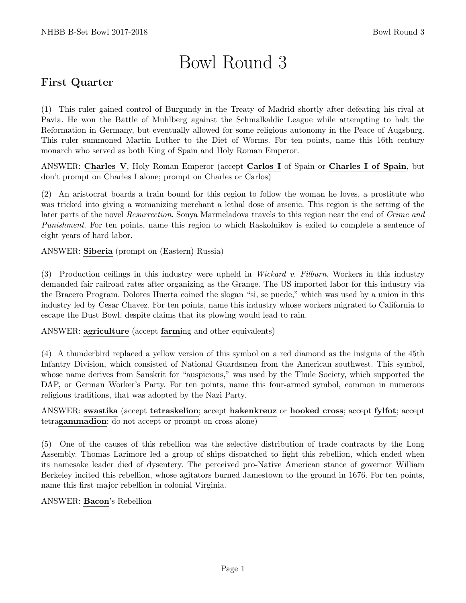# Bowl Round 3

# First Quarter

(1) This ruler gained control of Burgundy in the Treaty of Madrid shortly after defeating his rival at Pavia. He won the Battle of Muhlberg against the Schmalkaldic League while attempting to halt the Reformation in Germany, but eventually allowed for some religious autonomy in the Peace of Augsburg. This ruler summoned Martin Luther to the Diet of Worms. For ten points, name this 16th century monarch who served as both King of Spain and Holy Roman Emperor.

ANSWER: Charles V, Holy Roman Emperor (accept Carlos I of Spain or Charles I of Spain, but don't prompt on Charles I alone; prompt on Charles or Carlos)

(2) An aristocrat boards a train bound for this region to follow the woman he loves, a prostitute who was tricked into giving a womanizing merchant a lethal dose of arsenic. This region is the setting of the later parts of the novel Resurrection. Sonya Marmeladova travels to this region near the end of Crime and Punishment. For ten points, name this region to which Raskolnikov is exiled to complete a sentence of eight years of hard labor.

ANSWER: Siberia (prompt on (Eastern) Russia)

(3) Production ceilings in this industry were upheld in Wickard v. Filburn. Workers in this industry demanded fair railroad rates after organizing as the Grange. The US imported labor for this industry via the Bracero Program. Dolores Huerta coined the slogan "si, se puede," which was used by a union in this industry led by Cesar Chavez. For ten points, name this industry whose workers migrated to California to escape the Dust Bowl, despite claims that its plowing would lead to rain.

ANSWER: agriculture (accept farming and other equivalents)

(4) A thunderbird replaced a yellow version of this symbol on a red diamond as the insignia of the 45th Infantry Division, which consisted of National Guardsmen from the American southwest. This symbol, whose name derives from Sanskrit for "auspicious," was used by the Thule Society, which supported the DAP, or German Worker's Party. For ten points, name this four-armed symbol, common in numerous religious traditions, that was adopted by the Nazi Party.

ANSWER: swastika (accept tetraskelion; accept hakenkreuz or hooked cross; accept fylfot; accept tetragammadion; do not accept or prompt on cross alone)

(5) One of the causes of this rebellion was the selective distribution of trade contracts by the Long Assembly. Thomas Larimore led a group of ships dispatched to fight this rebellion, which ended when its namesake leader died of dysentery. The perceived pro-Native American stance of governor William Berkeley incited this rebellion, whose agitators burned Jamestown to the ground in 1676. For ten points, name this first major rebellion in colonial Virginia.

ANSWER: Bacon's Rebellion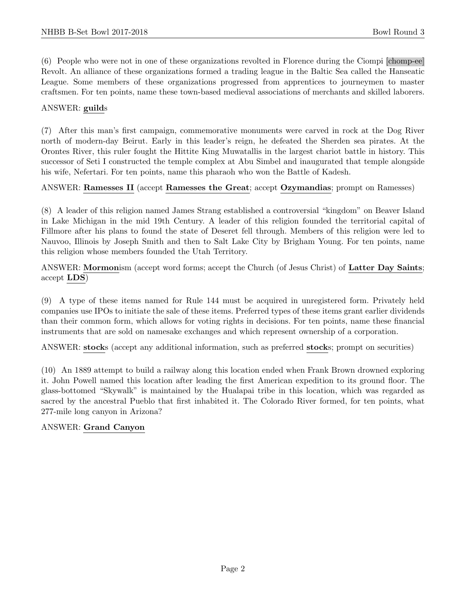(6) People who were not in one of these organizations revolted in Florence during the Ciompi [chomp-ee] Revolt. An alliance of these organizations formed a trading league in the Baltic Sea called the Hanseatic League. Some members of these organizations progressed from apprentices to journeymen to master craftsmen. For ten points, name these town-based medieval associations of merchants and skilled laborers.

#### ANSWER: guilds

(7) After this man's first campaign, commemorative monuments were carved in rock at the Dog River north of modern-day Beirut. Early in this leader's reign, he defeated the Sherden sea pirates. At the Orontes River, this ruler fought the Hittite King Muwatallis in the largest chariot battle in history. This successor of Seti I constructed the temple complex at Abu Simbel and inaugurated that temple alongside his wife, Nefertari. For ten points, name this pharaoh who won the Battle of Kadesh.

#### ANSWER: Ramesses II (accept Ramesses the Great; accept Ozymandias; prompt on Ramesses)

(8) A leader of this religion named James Strang established a controversial "kingdom" on Beaver Island in Lake Michigan in the mid 19th Century. A leader of this religion founded the territorial capital of Fillmore after his plans to found the state of Deseret fell through. Members of this religion were led to Nauvoo, Illinois by Joseph Smith and then to Salt Lake City by Brigham Young. For ten points, name this religion whose members founded the Utah Territory.

ANSWER: Mormonism (accept word forms; accept the Church (of Jesus Christ) of Latter Day Saints; accept LDS)

(9) A type of these items named for Rule 144 must be acquired in unregistered form. Privately held companies use IPOs to initiate the sale of these items. Preferred types of these items grant earlier dividends than their common form, which allows for voting rights in decisions. For ten points, name these financial instruments that are sold on namesake exchanges and which represent ownership of a corporation.

ANSWER: stocks (accept any additional information, such as preferred stocks; prompt on securities)

(10) An 1889 attempt to build a railway along this location ended when Frank Brown drowned exploring it. John Powell named this location after leading the first American expedition to its ground floor. The glass-bottomed "Skywalk" is maintained by the Hualapai tribe in this location, which was regarded as sacred by the ancestral Pueblo that first inhabited it. The Colorado River formed, for ten points, what 277-mile long canyon in Arizona?

#### ANSWER: Grand Canyon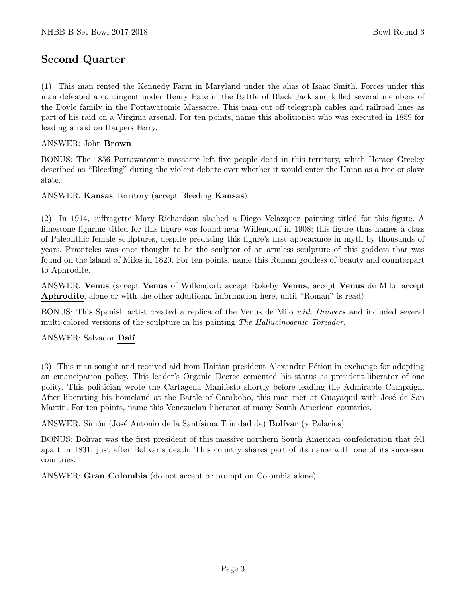# Second Quarter

(1) This man rented the Kennedy Farm in Maryland under the alias of Isaac Smith. Forces under this man defeated a contingent under Henry Pate in the Battle of Black Jack and killed several members of the Doyle family in the Pottawatomie Massacre. This man cut off telegraph cables and railroad lines as part of his raid on a Virginia arsenal. For ten points, name this abolitionist who was executed in 1859 for leading a raid on Harpers Ferry.

#### ANSWER: John Brown

BONUS: The 1856 Pottawatomie massacre left five people dead in this territory, which Horace Greeley described as "Bleeding" during the violent debate over whether it would enter the Union as a free or slave state.

ANSWER: Kansas Territory (accept Bleeding Kansas)

(2) In 1914, suffragette Mary Richardson slashed a Diego Velazquez painting titled for this figure. A limestone figurine titled for this figure was found near Willendorf in 1908; this figure thus names a class of Paleolithic female sculptures, despite predating this figure's first appearance in myth by thousands of years. Praxiteles was once thought to be the sculptor of an armless sculpture of this goddess that was found on the island of Milos in 1820. For ten points, name this Roman goddess of beauty and counterpart to Aphrodite.

ANSWER: Venus (accept Venus of Willendorf; accept Rokeby Venus; accept Venus de Milo; accept Aphrodite, alone or with the other additional information here, until "Roman" is read)

BONUS: This Spanish artist created a replica of the Venus de Milo with Drawers and included several multi-colored versions of the sculpture in his painting The Hallucinogenic Toreador.

ANSWER: Salvador Dalí

(3) This man sought and received aid from Haitian president Alexandre P´etion in exchange for adopting an emancipation policy. This leader's Organic Decree cemented his status as president-liberator of one polity. This politician wrote the Cartagena Manifesto shortly before leading the Admirable Campaign. After liberating his homeland at the Battle of Carabobo, this man met at Guayaquil with José de San Martín. For ten points, name this Venezuelan liberator of many South American countries.

ANSWER: Simón (José Antonio de la Santísima Trinidad de) **Bolívar** (y Palacios)

BONUS: Bolívar was the first president of this massive northern South American confederation that fell apart in 1831, just after Bolívar's death. This country shares part of its name with one of its successor countries.

ANSWER: Gran Colombia (do not accept or prompt on Colombia alone)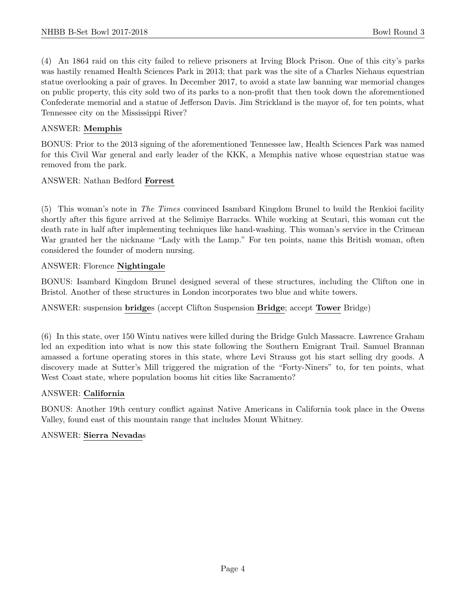(4) An 1864 raid on this city failed to relieve prisoners at Irving Block Prison. One of this city's parks was hastily renamed Health Sciences Park in 2013; that park was the site of a Charles Niehaus equestrian statue overlooking a pair of graves. In December 2017, to avoid a state law banning war memorial changes on public property, this city sold two of its parks to a non-profit that then took down the aforementioned Confederate memorial and a statue of Jefferson Davis. Jim Strickland is the mayor of, for ten points, what Tennessee city on the Mississippi River?

### ANSWER: Memphis

BONUS: Prior to the 2013 signing of the aforementioned Tennessee law, Health Sciences Park was named for this Civil War general and early leader of the KKK, a Memphis native whose equestrian statue was removed from the park.

#### ANSWER: Nathan Bedford Forrest

(5) This woman's note in The Times convinced Isambard Kingdom Brunel to build the Renkioi facility shortly after this figure arrived at the Selimiye Barracks. While working at Scutari, this woman cut the death rate in half after implementing techniques like hand-washing. This woman's service in the Crimean War granted her the nickname "Lady with the Lamp." For ten points, name this British woman, often considered the founder of modern nursing.

#### ANSWER: Florence Nightingale

BONUS: Isambard Kingdom Brunel designed several of these structures, including the Clifton one in Bristol. Another of these structures in London incorporates two blue and white towers.

ANSWER: suspension bridges (accept Clifton Suspension Bridge; accept Tower Bridge)

(6) In this state, over 150 Wintu natives were killed during the Bridge Gulch Massacre. Lawrence Graham led an expedition into what is now this state following the Southern Emigrant Trail. Samuel Brannan amassed a fortune operating stores in this state, where Levi Strauss got his start selling dry goods. A discovery made at Sutter's Mill triggered the migration of the "Forty-Niners" to, for ten points, what West Coast state, where population booms hit cities like Sacramento?

#### ANSWER: California

BONUS: Another 19th century conflict against Native Americans in California took place in the Owens Valley, found east of this mountain range that includes Mount Whitney.

#### ANSWER: Sierra Nevadas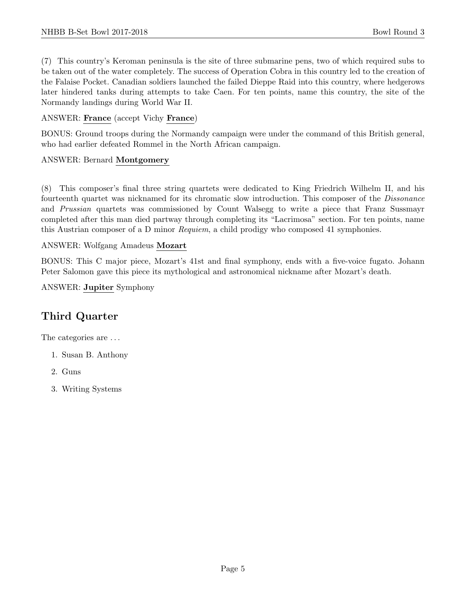(7) This country's Keroman peninsula is the site of three submarine pens, two of which required subs to be taken out of the water completely. The success of Operation Cobra in this country led to the creation of the Falaise Pocket. Canadian soldiers launched the failed Dieppe Raid into this country, where hedgerows later hindered tanks during attempts to take Caen. For ten points, name this country, the site of the Normandy landings during World War II.

# ANSWER: France (accept Vichy France)

BONUS: Ground troops during the Normandy campaign were under the command of this British general, who had earlier defeated Rommel in the North African campaign.

# ANSWER: Bernard Montgomery

(8) This composer's final three string quartets were dedicated to King Friedrich Wilhelm II, and his fourteenth quartet was nicknamed for its chromatic slow introduction. This composer of the Dissonance and Prussian quartets was commissioned by Count Walsegg to write a piece that Franz Sussmayr completed after this man died partway through completing its "Lacrimosa" section. For ten points, name this Austrian composer of a D minor *Requiem*, a child prodigy who composed 41 symphonies.

# ANSWER: Wolfgang Amadeus Mozart

BONUS: This C major piece, Mozart's 41st and final symphony, ends with a five-voice fugato. Johann Peter Salomon gave this piece its mythological and astronomical nickname after Mozart's death.

ANSWER: Jupiter Symphony

# Third Quarter

The categories are  $\dots$ 

- 1. Susan B. Anthony
- 2. Guns
- 3. Writing Systems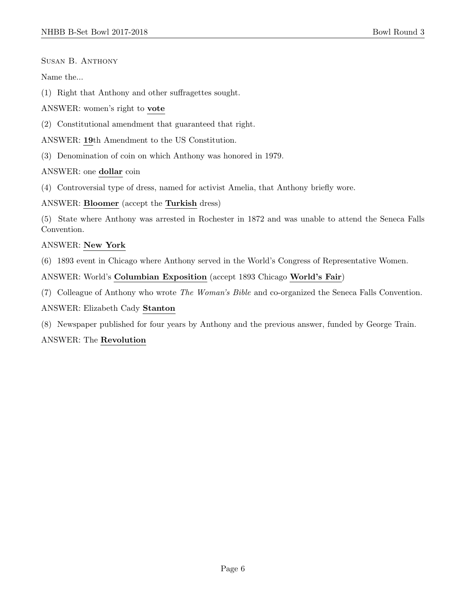Susan B. Anthony

Name the...

(1) Right that Anthony and other suffragettes sought.

ANSWER: women's right to vote

(2) Constitutional amendment that guaranteed that right.

ANSWER: 19th Amendment to the US Constitution.

(3) Denomination of coin on which Anthony was honored in 1979.

ANSWER: one dollar coin

(4) Controversial type of dress, named for activist Amelia, that Anthony briefly wore.

ANSWER: Bloomer (accept the Turkish dress)

(5) State where Anthony was arrested in Rochester in 1872 and was unable to attend the Seneca Falls Convention.

#### ANSWER: New York

(6) 1893 event in Chicago where Anthony served in the World's Congress of Representative Women.

ANSWER: World's Columbian Exposition (accept 1893 Chicago World's Fair)

(7) Colleague of Anthony who wrote The Woman's Bible and co-organized the Seneca Falls Convention.

ANSWER: Elizabeth Cady Stanton

(8) Newspaper published for four years by Anthony and the previous answer, funded by George Train.

#### ANSWER: The Revolution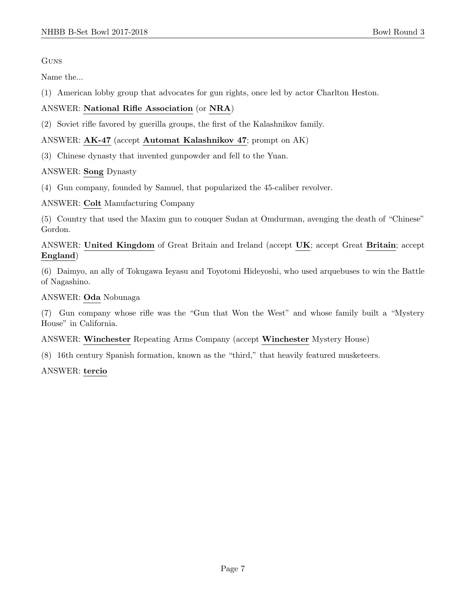# Guns

Name the...

(1) American lobby group that advocates for gun rights, once led by actor Charlton Heston.

# ANSWER: National Rifle Association (or NRA)

(2) Soviet rifle favored by guerilla groups, the first of the Kalashnikov family.

# ANSWER: AK-47 (accept Automat Kalashnikov 47; prompt on AK)

(3) Chinese dynasty that invented gunpowder and fell to the Yuan.

# ANSWER: Song Dynasty

(4) Gun company, founded by Samuel, that popularized the 45-caliber revolver.

ANSWER: Colt Manufacturing Company

(5) Country that used the Maxim gun to conquer Sudan at Omdurman, avenging the death of "Chinese" Gordon.

# ANSWER: United Kingdom of Great Britain and Ireland (accept UK; accept Great Britain; accept England)

(6) Daimyo, an ally of Tokugawa Ieyasu and Toyotomi Hideyoshi, who used arquebuses to win the Battle of Nagashino.

### ANSWER: Oda Nobunaga

(7) Gun company whose rifle was the "Gun that Won the West" and whose family built a "Mystery House" in California.

ANSWER: Winchester Repeating Arms Company (accept Winchester Mystery House)

(8) 16th century Spanish formation, known as the "third," that heavily featured musketeers.

#### ANSWER: tercio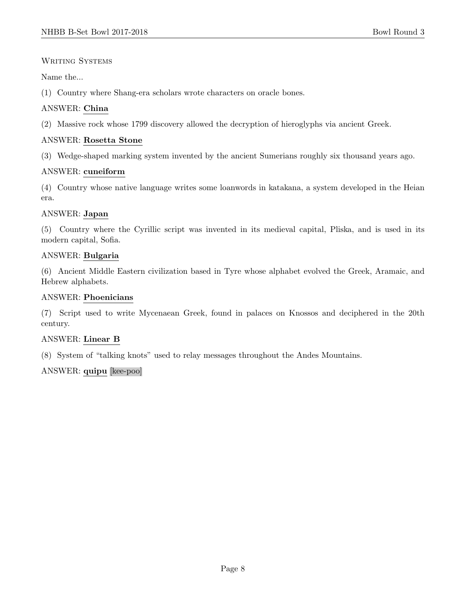#### WRITING SYSTEMS

Name the...

(1) Country where Shang-era scholars wrote characters on oracle bones.

# ANSWER: China

(2) Massive rock whose 1799 discovery allowed the decryption of hieroglyphs via ancient Greek.

# ANSWER: Rosetta Stone

(3) Wedge-shaped marking system invented by the ancient Sumerians roughly six thousand years ago.

#### ANSWER: cuneiform

(4) Country whose native language writes some loanwords in katakana, a system developed in the Heian era.

#### ANSWER: Japan

(5) Country where the Cyrillic script was invented in its medieval capital, Pliska, and is used in its modern capital, Sofia.

# ANSWER: Bulgaria

(6) Ancient Middle Eastern civilization based in Tyre whose alphabet evolved the Greek, Aramaic, and Hebrew alphabets.

### ANSWER: Phoenicians

(7) Script used to write Mycenaean Greek, found in palaces on Knossos and deciphered in the 20th century.

#### ANSWER: Linear B

(8) System of "talking knots" used to relay messages throughout the Andes Mountains.

#### ANSWER: quipu [kee-poo]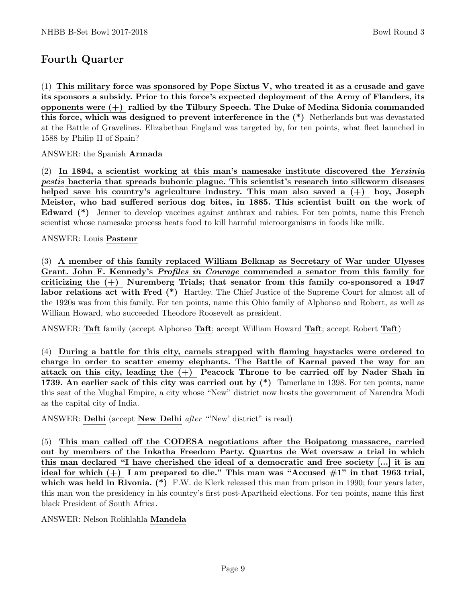# Fourth Quarter

(1) This military force was sponsored by Pope Sixtus V, who treated it as a crusade and gave its sponsors a subsidy. Prior to this force's expected deployment of the Army of Flanders, its opponents were (+) rallied by the Tilbury Speech. The Duke of Medina Sidonia commanded this force, which was designed to prevent interference in the (\*) Netherlands but was devastated at the Battle of Gravelines. Elizabethan England was targeted by, for ten points, what fleet launched in 1588 by Philip II of Spain?

## ANSWER: the Spanish Armada

(2) In 1894, a scientist working at this man's namesake institute discovered the Yersinia pestis bacteria that spreads bubonic plague. This scientist's research into silkworm diseases helped save his country's agriculture industry. This man also saved a  $(+)$  boy, Joseph Meister, who had suffered serious dog bites, in 1885. This scientist built on the work of Edward (\*) Jenner to develop vaccines against anthrax and rabies. For ten points, name this French scientist whose namesake process heats food to kill harmful microorganisms in foods like milk.

#### ANSWER: Louis Pasteur

(3) A member of this family replaced William Belknap as Secretary of War under Ulysses Grant. John F. Kennedy's Profiles in Courage commended a senator from this family for criticizing the  $(+)$  Nuremberg Trials; that senator from this family co-sponsored a 1947 labor relations act with Fred (\*) Hartley. The Chief Justice of the Supreme Court for almost all of the 1920s was from this family. For ten points, name this Ohio family of Alphonso and Robert, as well as William Howard, who succeeded Theodore Roosevelt as president.

ANSWER: Taft family (accept Alphonso Taft; accept William Howard Taft; accept Robert Taft)

(4) During a battle for this city, camels strapped with flaming haystacks were ordered to charge in order to scatter enemy elephants. The Battle of Karnal paved the way for an attack on this city, leading the  $(+)$  Peacock Throne to be carried off by Nader Shah in 1739. An earlier sack of this city was carried out by  $(*)$  Tamerlane in 1398. For ten points, name this seat of the Mughal Empire, a city whose "New" district now hosts the government of Narendra Modi as the capital city of India.

ANSWER: Delhi (accept New Delhi after "'New' district" is read)

(5) This man called off the CODESA negotiations after the Boipatong massacre, carried out by members of the Inkatha Freedom Party. Quartus de Wet oversaw a trial in which this man declared "I have cherished the ideal of a democratic and free society [...] it is an ideal for which  $(+)$  I am prepared to die." This man was "Accused  $\#1$ " in that 1963 trial, which was held in Rivonia. (\*) F.W. de Klerk released this man from prison in 1990; four years later, this man won the presidency in his country's first post-Apartheid elections. For ten points, name this first black President of South Africa.

#### ANSWER: Nelson Rolihlahla Mandela